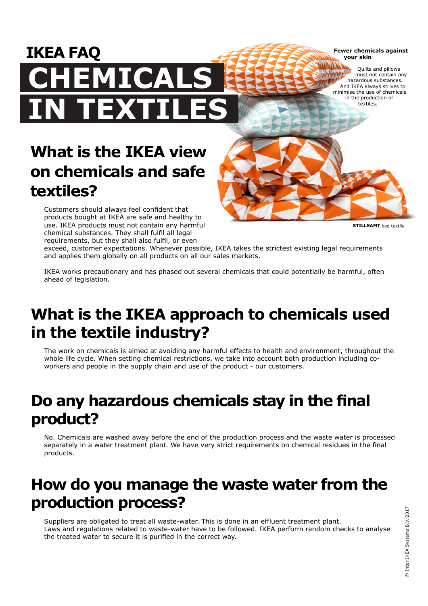**Fewer chemicals against your skin**

Quilts and pillows must not contain any hazardous substances. And IKEA always strives to minimise the use of chemicals in the production of textiles.

# **What is the IKEA view MICALS IN TEXTILES**

**on chemicals and safe** 

Customers should always feel confident that products bought at IKEA are safe and healthy to use. IKEA products must not contain any harmful chemical substances. They shall fulfil all legal

**textiles?**

**IKEA FAQ**

**STILLSAMT** bed textile

requirements, but they shall also fulfil, or even exceed, customer expectations. Whenever possible, IKEA takes the strictest existing legal requirements and applies them globally on all products on all our sales markets.

IKEA works precautionary and has phased out several chemicals that could potentially be harmful, often ahead of legislation.

## **What is the IKEA approach to chemicals used in the textile industry?**

The work on chemicals is aimed at avoiding any harmful effects to health and environment, throughout the whole life cycle. When setting chemical restrictions, we take into account both production including coworkers and people in the supply chain and use of the product - our customers.

# **Do any hazardous chemicals stay in the final product?**

No. Chemicals are washed away before the end of the production process and the waste water is processed separately in a water treatment plant. We have very strict requirements on chemical residues in the final products.

#### **How do you manage the waste water from the production process?**

Suppliers are obligated to treat all waste-water. This is done in an effluent treatment plant. Laws and regulations related to waste-water have to be followed. IKEA perform random checks to analyse the treated water to secure it is purified in the correct way.